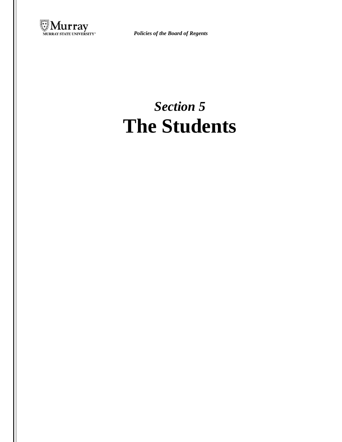

*Policies of the Board of Regents*

# *Section 5* **The Students**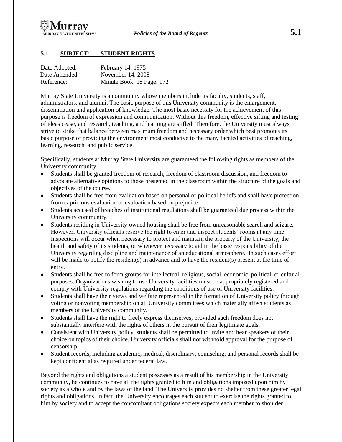

# **5.1 SUBJECT: STUDENT RIGHTS**

| Date Adopted: | February 14, 1975         |
|---------------|---------------------------|
| Date Amended: | November 14, 2008         |
| Reference:    | Minute Book: 18 Page: 172 |

Murray State University is a community whose members include its faculty, students, staff, administrators, and alumni. The basic purpose of this University community is the enlargement, dissemination and application of knowledge. The most basic necessity for the achievement of this purpose is freedom of expression and communication. Without this freedom, effective sifting and testing of ideas cease, and research, teaching, and learning are stifled. Therefore, the University must always strive to strike that balance between maximum freedom and necessary order which best promotes its basic purpose of providing the environment most conducive to the many faceted activities of teaching, learning, research, and public service.

Specifically, students at Murray State University are guaranteed the following rights as members of the University community.

- Students shall be granted freedom of research, freedom of classroom discussion, and freedom to advocate alternative opinions to those presented in the classroom within the structure of the goals and objectives of the course.
- Students shall be free from evaluation based on personal or political beliefs and shall have protection from capricious evaluation or evaluation based on prejudice.
- Students accused of breaches of institutional regulations shall be guaranteed due process within the University community.
- Students residing in University-owned housing shall be free from unreasonable search and seizure. However, University officials reserve the right to enter and inspect students' rooms at any time. Inspections will occur when necessary to protect and maintain the property of the University, the health and safety of its students, or whenever necessary to aid in the basic responsibility of the University regarding discipline and maintenance of an educational atmosphere. In such cases effort will be made to notify the resident(s) in advance and to have the resident(s) present at the time of entry.
- Students shall be free to form groups for intellectual, religious, social, economic, political, or cultural purposes. Organizations wishing to use University facilities must be appropriately registered and comply with University regulations regarding the conditions of use of University facilities.
- Students shall have their views and welfare represented in the formation of University policy through voting or nonvoting membership on all University committees which materially affect students as members of the University community.
- Students shall have the right to freely express themselves, provided such freedom does not substantially interfere with the rights of others in the pursuit of their legitimate goals.
- Consistent with University policy, students shall be permitted to invite and hear speakers of their choice on topics of their choice. University officials shall not withhold approval for the purpose of censorship.
- Student records, including academic, medical, disciplinary, counseling, and personal records shall be kept confidential as required under federal law.

Beyond the rights and obligations a student possesses as a result of his membership in the University community, he continues to have all the rights granted to him and obligations imposed upon him by society as a whole and by the laws of the land. The University provides no shelter from these greater legal rights and obligations. In fact, the University encourages each student to exercise the rights granted to him by society and to accept the concomitant obligations society expects each member to shoulder.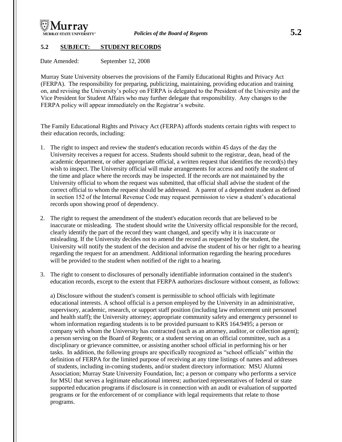

### **5.2 SUBJECT: STUDENT RECORDS**

Date Amended: September 12, 2008

Murray State University observes the provisions of the Family Educational Rights and Privacy Act (FERPA). The responsibility for preparing, publicizing, maintaining, providing education and training on, and revising the University's policy on FERPA is delegated to the President of the University and the Vice President for Student Affairs who may further delegate that responsibility. Any changes to the FERPA policy will appear immediately on the Registrar's website.

The Family Educational Rights and Privacy Act (FERPA) affords students certain rights with respect to their education records, including:

- 1. The right to inspect and review the student's education records within 45 days of the day the University receives a request for access. Students should submit to the registrar, dean, head of the academic department, or other appropriate official, a written request that identifies the record(s) they wish to inspect. The University official will make arrangements for access and notify the student of the time and place where the records may be inspected. If the records are not maintained by the University official to whom the request was submitted, that official shall advise the student of the correct official to whom the request should be addressed. A parent of a dependent student as defined in section 152 of the Internal Revenue Code may request permission to view a student's educational records upon showing proof of dependency.
- 2. The right to request the amendment of the student's education records that are believed to be inaccurate or misleading. The student should write the University official responsible for the record, clearly identify the part of the record they want changed, and specify why it is inaccurate or misleading. If the University decides not to amend the record as requested by the student, the University will notify the student of the decision and advise the student of his or her right to a hearing regarding the request for an amendment. Additional information regarding the hearing procedures will be provided to the student when notified of the right to a hearing.
- 3. The right to consent to disclosures of personally identifiable information contained in the student's education records, except to the extent that FERPA authorizes disclosure without consent, as follows:

a) Disclosure without the student's consent is permissible to school officials with legitimate educational interests. A school official is a person employed by the University in an administrative, supervisory, academic, research, or support staff position (including law enforcement unit personnel and health staff); the University attorney; appropriate community safety and emergency personnel to whom information regarding students is to be provided pursuant to KRS 164.9495; a person or company with whom the University has contracted (such as an attorney, auditor, or collection agent); a person serving on the Board of Regents; or a student serving on an official committee, such as a disciplinary or grievance committee, or assisting another school official in performing his or her tasks. In addition, the following groups are specifically recognized as "school officials" within the definition of FERPA for the limited purpose of receiving at any time listings of names and addresses of students, including in-coming students, and/or student directory information: MSU Alumni Association; Murray State University Foundation, Inc; a person or company who performs a service for MSU that serves a legitimate educational interest; authorized representatives of federal or state supported education programs if disclosure is in connection with an audit or evaluation of supported programs or for the enforcement of or compliance with legal requirements that relate to those programs.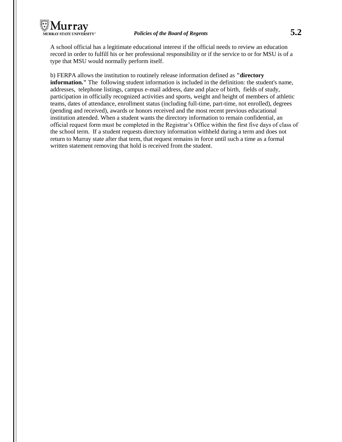

A school official has a legitimate educational interest if the official needs to review an education record in order to fulfill his or her professional responsibility or if the service to or for MSU is of a type that MSU would normally perform itself.

b) FERPA allows the institution to routinely release information defined as **"directory information.**" The following student information is included in the definition: the student's name, addresses, telephone listings, campus e-mail address, date and place of birth, fields of study, participation in officially recognized activities and sports, weight and height of members of athletic teams, dates of attendance, enrollment status (including full-time, part-time, not enrolled), degrees (pending and received), awards or honors received and the most recent previous educational institution attended. When a student wants the directory information to remain confidential, an official request form must be completed in the Registrar's Office within the first five days of class of the school term. If a student requests directory information withheld during a term and does not return to Murray state after that term, that request remains in force until such a time as a formal written statement removing that hold is received from the student.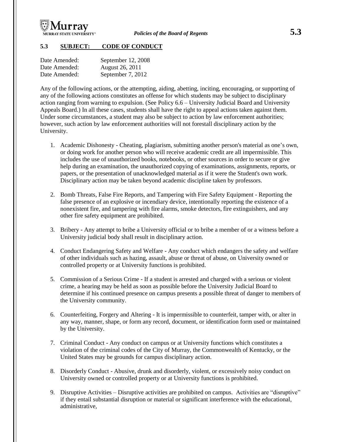

### **5.3 SUBJECT: CODE OF CONDUCT**

| Date Amended: | September 12, 2008 |
|---------------|--------------------|
| Date Amended: | August 26, 2011    |
| Date Amended: | September 7, 2012  |

Any of the following actions, or the attempting, aiding, abetting, inciting, encouraging, or supporting of any of the following actions constitutes an offense for which students may be subject to disciplinary action ranging from warning to expulsion. (See Policy 6.6 – University Judicial Board and University Appeals Board.) In all these cases, students shall have the right to appeal actions taken against them. Under some circumstances, a student may also be subject to action by law enforcement authorities; however, such action by law enforcement authorities will not forestall disciplinary action by the University.

- 1. Academic Dishonesty Cheating, plagiarism, submitting another person's material as one's own, or doing work for another person who will receive academic credit are all impermissible. This includes the use of unauthorized books, notebooks, or other sources in order to secure or give help during an examination, the unauthorized copying of examinations, assignments, reports, or papers, or the presentation of unacknowledged material as if it were the Student's own work. Disciplinary action may be taken beyond academic discipline taken by professors.
- 2. Bomb Threats, False Fire Reports, and Tampering with Fire Safety Equipment Reporting the false presence of an explosive or incendiary device, intentionally reporting the existence of a nonexistent fire, and tampering with fire alarms, smoke detectors, fire extinguishers, and any other fire safety equipment are prohibited.
- 3. Bribery Any attempt to bribe a University official or to bribe a member of or a witness before a University judicial body shall result in disciplinary action.
- 4. Conduct Endangering Safety and Welfare Any conduct which endangers the safety and welfare of other individuals such as hazing, assault, abuse or threat of abuse, on University owned or controlled property or at University functions is prohibited.
- 5. Commission of a Serious Crime If a student is arrested and charged with a serious or violent crime, a hearing may be held as soon as possible before the University Judicial Board to determine if his continued presence on campus presents a possible threat of danger to members of the University community.
- 6. Counterfeiting, Forgery and Altering It is impermissible to counterfeit, tamper with, or alter in any way, manner, shape, or form any record, document, or identification form used or maintained by the University.
- 7. Criminal Conduct Any conduct on campus or at University functions which constitutes a violation of the criminal codes of the City of Murray, the Commonwealth of Kentucky, or the United States may be grounds for campus disciplinary action.
- 8. Disorderly Conduct Abusive, drunk and disorderly, violent, or excessively noisy conduct on University owned or controlled property or at University functions is prohibited.
- 9. Disruptive Activities Disruptive activities are prohibited on campus. Activities are "disruptive" if they entail substantial disruption or material or significant interference with the educational, administrative,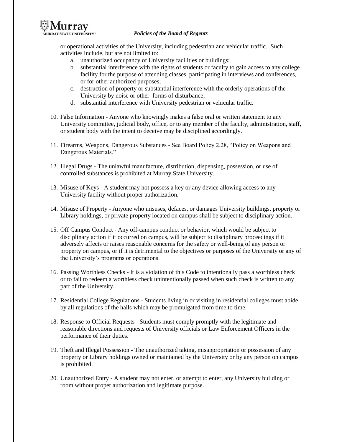

#### *Policies of the Board of Regents*

or operational activities of the University, including pedestrian and vehicular traffic. Such activities include, but are not limited to:

- a. unauthorized occupancy of University facilities or buildings;
- b. substantial interference with the rights of students or faculty to gain access to any college facility for the purpose of attending classes, participating in interviews and conferences, or for other authorized purposes;
- c. destruction of property or substantial interference with the orderly operations of the University by noise or other forms of disturbance;
- d. substantial interference with University pedestrian or vehicular traffic.
- 10. False Information Anyone who knowingly makes a false oral or written statement to any University committee, judicial body, office, or to any member of the faculty, administration, staff, or student body with the intent to deceive may be disciplined accordingly.
- 11. Firearms, Weapons, Dangerous Substances See Board Policy 2.28, "Policy on Weapons and Dangerous Materials."
- 12. Illegal Drugs The unlawful manufacture, distribution, dispensing, possession, or use of controlled substances is prohibited at Murray State University.
- 13. Misuse of Keys A student may not possess a key or any device allowing access to any University facility without proper authorization.
- 14. Misuse of Property Anyone who misuses, defaces, or damages University buildings, property or Library holdings, or private property located on campus shall be subject to disciplinary action.
- 15. Off Campus Conduct Any off-campus conduct or behavior, which would be subject to disciplinary action if it occurred on campus, will be subject to disciplinary proceedings if it adversely affects or raises reasonable concerns for the safety or well-being of any person or property on campus, or if it is detrimental to the objectives or purposes of the University or any of the University's programs or operations.
- 16. Passing Worthless Checks It is a violation of this Code to intentionally pass a worthless check or to fail to redeem a worthless check unintentionally passed when such check is written to any part of the University.
- 17. Residential College Regulations Students living in or visiting in residential colleges must abide by all regulations of the halls which may be promulgated from time to time.
- 18. Response to Official Requests Students must comply promptly with the legitimate and reasonable directions and requests of University officials or Law Enforcement Officers in the performance of their duties.
- 19. Theft and Illegal Possession The unauthorized taking, misappropriation or possession of any property or Library holdings owned or maintained by the University or by any person on campus is prohibited.
- 20. Unauthorized Entry A student may not enter, or attempt to enter, any University building or room without proper authorization and legitimate purpose.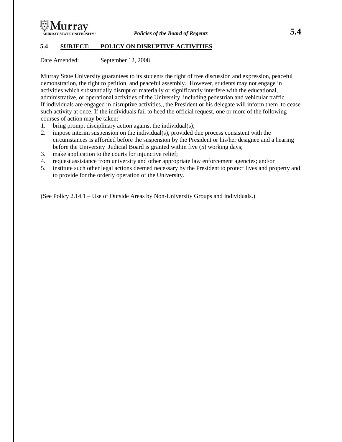

### **5.4 SUBJECT: POLICY ON DISRUPTIVE ACTIVITIES**

Date Amended: September 12, 2008

Murray State University guarantees to its students the right of free discussion and expression, peaceful demonstration, the right to petition, and peaceful assembly. However, students may not engage in activities which substantially disrupt or materially or significantly interfere with the educational, administrative, or operational activities of the University, including pedestrian and vehicular traffic. If individuals are engaged in disruptive activities,, the President or his delegate will inform them to cease such activity at once. If the individuals fail to heed the official request, one or more of the following courses of action may be taken:

- 1. bring prompt disciplinary action against the individual(s);
- 2. impose interim suspension on the individual(s), provided due process consistent with the circumstances is afforded before the suspension by the President or his/her designee and a hearing before the University Judicial Board is granted within five (5) working days;
- 3. make application to the courts for injunctive relief;
- 4. request assistance from university and other appropriate law enforcement agencies; and/or
- 5. institute such other legal actions deemed necessary by the President to protect lives and property and to provide for the orderly operation of the University.

(See Policy 2.14.1 – Use of Outside Areas by Non-University Groups and Individuals.)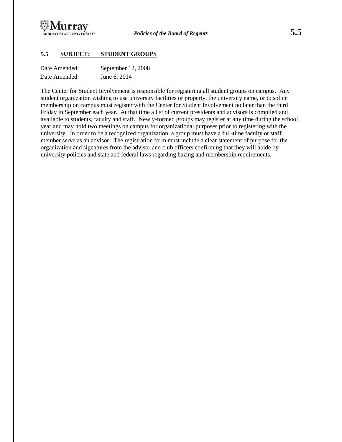

#### **5.5 SUBJECT: STUDENT GROUPS**

| Date Amended: | September 12, 2008 |
|---------------|--------------------|
| Date Amended: | June 6, 2014       |

The Center for Student Involvement is responsible for registering all student groups on campus. Any student organization wishing to use university facilities or property, the university name, or to solicit membership on campus must register with the Center for Student Involvement no later than the third Friday in September each year. At that time a list of current presidents and advisors is compiled and available to students, faculty and staff. Newly-formed groups may register at any time during the school year and may hold two meetings on campus for organizational purposes prior to registering with the university. In order to be a recognized organization, a group must have a full-time faculty or staff member serve as an advisor. The registration form must include a clear statement of purpose for the organization and signatures from the advisor and club officers confirming that they will abide by university policies and state and federal laws regarding hazing and membership requirements.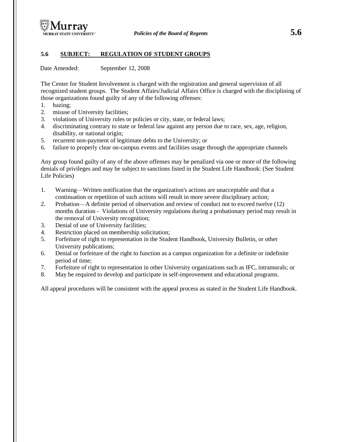

#### **5.6 SUBJECT: REGULATION OF STUDENT GROUPS**

Date Amended: September 12, 2008

The Center for Student Involvement is charged with the registration and general supervision of all recognized student groups. The Student Affairs/Judicial Affairs Office is charged with the disciplining of those organizations found guilty of any of the following offenses:

- 1. hazing;
- 2. misuse of University facilities;
- 3. violations of University rules or policies or city, state, or federal laws;
- 4. discriminating contrary to state or federal law against any person due to race, sex, age, religion, disability, or national origin;
- 5. recurrent non-payment of legitimate debts to the University; or
- 6. failure to properly clear on-campus events and facilities usage through the appropriate channels

Any group found guilty of any of the above offenses may be penalized via one or more of the following denials of privileges and may be subject to sanctions listed in the Student Life Handbook: (See Student Life Policies)

- 1. Warning—Written notification that the organization's actions are unacceptable and that a continuation or repetition of such actions will result in more severe disciplinary action;
- 2. Probation—A definite period of observation and review of conduct not to exceed twelve (12) months duration - Violations of University regulations during a probationary period may result in the removal of University recognition;
- 3. Denial of use of University facilities;
- 4. Restriction placed on membership solicitation;
- 5. Forfeiture of right to representation in the Student Handbook, University Bulletin, or other University publications;
- 6. Denial or forfeiture of the right to function as a campus organization for a definite or indefinite period of time;
- 7. Forfeiture of right to representation in other University organizations such as IFC, intramurals; or
- 8. May be required to develop and participate in self-improvement and educational programs.

All appeal procedures will be consistent with the appeal process as stated in the Student Life Handbook.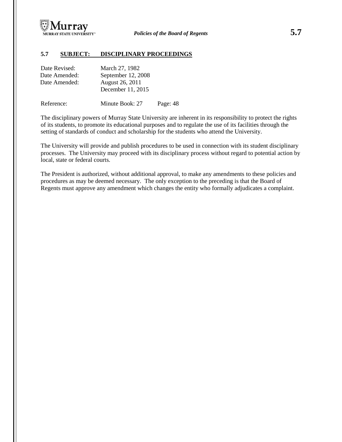

#### **5.7 SUBJECT: DISCIPLINARY PROCEEDINGS**

| Date Revised: | March 27, 1982     |
|---------------|--------------------|
| Date Amended: | September 12, 2008 |
| Date Amended: | August 26, 2011    |
|               | December 11, 2015  |
|               |                    |

Reference: Minute Book: 27 Page: 48

The disciplinary powers of Murray State University are inherent in its responsibility to protect the rights of its students, to promote its educational purposes and to regulate the use of its facilities through the setting of standards of conduct and scholarship for the students who attend the University.

The University will provide and publish procedures to be used in connection with its student disciplinary processes. The University may proceed with its disciplinary process without regard to potential action by local, state or federal courts.

The President is authorized, without additional approval, to make any amendments to these policies and procedures as may be deemed necessary. The only exception to the preceding is that the Board of Regents must approve any amendment which changes the entity who formally adjudicates a complaint.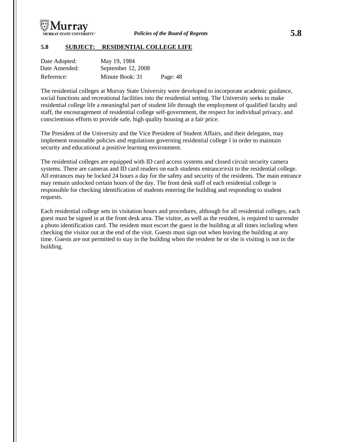

#### **5.8 SUBJECT: RESIDENTIAL COLLEGE LIFE**

| Date Adopted: | May 19, 1984       |          |
|---------------|--------------------|----------|
| Date Amended: | September 12, 2008 |          |
| Reference:    | Minute Book: 31    | Page: 48 |

The residential colleges at Murray State University were developed to incorporate academic guidance, social functions and recreational facilities into the residential setting. The University seeks to make residential college life a meaningful part of student life through the employment of qualified faculty and staff, the encouragement of residential college self-government, the respect for individual privacy, and conscientious efforts to provide safe, high quality housing at a fair price.

The President of the University and the Vice President of Student Affairs, and their delegates, may implement reasonable policies and regulations governing residential college l in order to maintain security and educational a positive learning environment.

The residential colleges are equipped with ID card access systems and closed circuit security camera systems. There are cameras and ID card readers on each students entrance/exit to the residential college. All entrances may be locked 24 hours a day for the safety and security of the residents. The main entrance may remain unlocked certain hours of the day. The front desk staff of each residential college is responsible for checking identification of students entering the building and responding to student requests.

Each residential college sets its visitation hours and procedures, although for all residential colleges, each guest must be signed in at the front desk area. The visitor, as well as the resident, is required to surrender a photo identification card. The resident must escort the guest in the building at all times including when checking the visitor out at the end of the visit. Guests must sign out when leaving the building at any time. Guests are not permitted to stay in the building when the resident he or she is visiting is not in the building.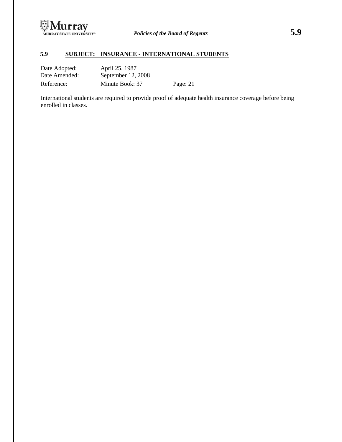

# **5.9 SUBJECT: INSURANCE - INTERNATIONAL STUDENTS**

| Date Adopted: | April 25, 1987     |          |
|---------------|--------------------|----------|
| Date Amended: | September 12, 2008 |          |
| Reference:    | Minute Book: 37    | Page: 21 |

International students are required to provide proof of adequate health insurance coverage before being enrolled in classes.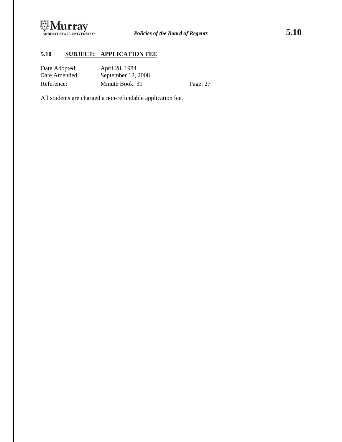

# **5.10 SUBJECT: APPLICATION FEE**

| Date Adopted:<br>Date Amended: | April 28, 1984<br>September 12, 2008 |          |
|--------------------------------|--------------------------------------|----------|
| Reference:                     | Minute Book: 31                      | Page: 27 |

All students are charged a non-refundable application fee.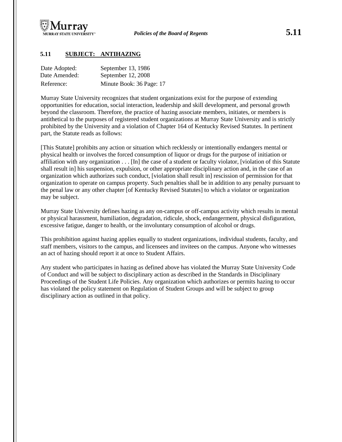

# **5.11 SUBJECT: ANTIHAZING**

| Date Adopted: | September 13, 1986       |
|---------------|--------------------------|
| Date Amended: | September 12, 2008       |
| Reference:    | Minute Book: 36 Page: 17 |

Murray State University recognizes that student organizations exist for the purpose of extending opportunities for education, social interaction, leadership and skill development, and personal growth beyond the classroom. Therefore, the practice of hazing associate members, initiates, or members is antithetical to the purposes of registered student organizations at Murray State University and is strictly prohibited by the University and a violation of Chapter 164 of Kentucky Revised Statutes. In pertinent part, the Statute reads as follows:

[This Statute] prohibits any action or situation which recklessly or intentionally endangers mental or physical health or involves the forced consumption of liquor or drugs for the purpose of initiation or affiliation with any organization . . . [In] the case of a student or faculty violator, [violation of this Statute shall result in] his suspension, expulsion, or other appropriate disciplinary action and, in the case of an organization which authorizes such conduct, [violation shall result in] rescission of permission for that organization to operate on campus property. Such penalties shall be in addition to any penalty pursuant to the penal law or any other chapter [of Kentucky Revised Statutes] to which a violator or organization may be subject.

Murray State University defines hazing as any on-campus or off-campus activity which results in mental or physical harassment, humiliation, degradation, ridicule, shock, endangerment, physical disfiguration, excessive fatigue, danger to health, or the involuntary consumption of alcohol or drugs.

This prohibition against hazing applies equally to student organizations, individual students, faculty, and staff members, visitors to the campus, and licensees and invitees on the campus. Anyone who witnesses an act of hazing should report it at once to Student Affairs.

Any student who participates in hazing as defined above has violated the Murray State University Code of Conduct and will be subject to disciplinary action as described in the Standards in Disciplinary Proceedings of the Student Life Policies. Any organization which authorizes or permits hazing to occur has violated the policy statement on Regulation of Student Groups and will be subject to group disciplinary action as outlined in that policy.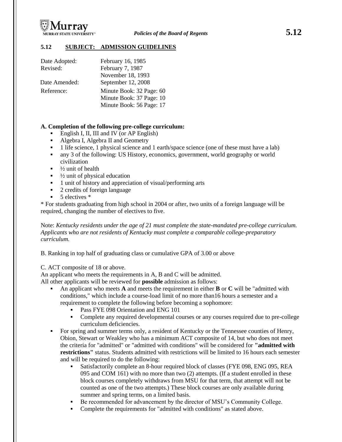

#### **5.12 SUBJECT: ADMISSION GUIDELINES**

| Date Adopted: | February 16, 1985        |
|---------------|--------------------------|
| Revised:      | February 7, 1987         |
|               | November 18, 1993        |
| Date Amended: | September 12, 2008       |
| Reference:    | Minute Book: 32 Page: 60 |
|               | Minute Book: 37 Page: 10 |
|               | Minute Book: 56 Page: 17 |

#### **A. Completion of the following pre-college curriculum:**

- English I, II, III and IV (or AP English)
- Algebra I, Algebra II and Geometry
- 1 life science, 1 physical science and 1 earth/space science (one of these must have a lab)
- any 3 of the following: US History, economics, government, world geography or world civilization
- $\frac{1}{2}$  unit of health
- $\blacksquare$  <sup>1</sup>/<sub>2</sub> unit of physical education
- <sup>1</sup> 1 unit of history and appreciation of visual/performing arts
- 2 credits of foreign language
- 5 electives \*

\* For students graduating from high school in 2004 or after, two units of a foreign language will be required, changing the number of electives to five.

Note: *Kentucky residents under the age of 21 must complete the state-mandated pre-college curriculum. Applicants who are not residents of Kentucky must complete a comparable college-preparatory curriculum.*

B. Ranking in top half of graduating class or cumulative GPA of 3.00 or above

C. ACT composite of 18 or above.

An applicant who meets the requirements in A, B and C will be admitted.

All other applicants will be reviewed for **possible** admission as follows:

- An applicant who meets **A** and meets the requirement in either **B** or **C** will be "admitted with conditions," which include a course-load limit of no more than16 hours a semester and a requirement to complete the following before becoming a sophomore:
	- Pass FYE 098 Orientation and ENG 101
	- Complete any required developmental courses or any courses required due to pre-college curriculum deficiencies.
- For spring and summer terms only, a resident of Kentucky or the Tennessee counties of Henry, Obion, Stewart or Weakley who has a minimum ACT composite of 14, but who does not meet the criteria for "admitted" or "admitted with conditions" will be considered for **"admitted with restrictions"** status. Students admitted with restrictions will be limited to 16 hours each semester and will be required to do the following:
	- Satisfactorily complete an 8-hour required block of classes (FYE 098, ENG 095, REA 095 and COM 161) with no more than two (2) attempts. (If a student enrolled in these block courses completely withdraws from MSU for that term, that attempt will not be counted as one of the two attempts.) These block courses are only available during summer and spring terms, on a limited basis.
	- Be recommended for advancement by the director of MSU's Community College.
	- Complete the requirements for "admitted with conditions" as stated above.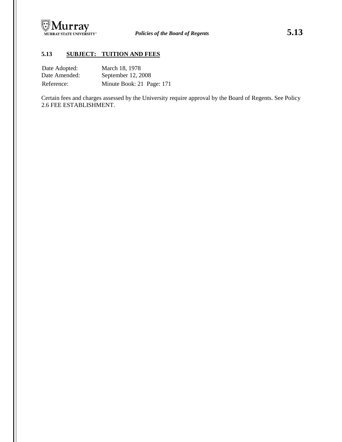

# **5.13 SUBJECT: TUITION AND FEES**

| Date Adopted: | March 18, 1978            |
|---------------|---------------------------|
| Date Amended: | September 12, 2008        |
| Reference:    | Minute Book: 21 Page: 171 |

Certain fees and charges assessed by the University require approval by the Board of Regents. See Policy 2.6 FEE ESTABLISHMENT.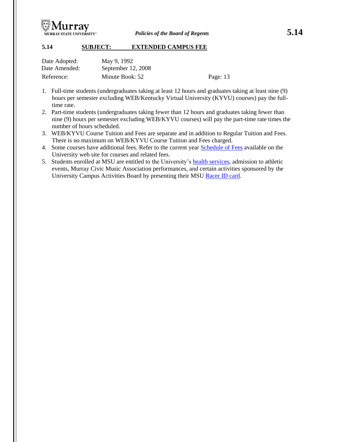

#### **5.14 SUBJECT: EXTENDED CAMPUS FEE**

| Date Adopted: | May 9, 1992        |          |
|---------------|--------------------|----------|
| Date Amended: | September 12, 2008 |          |
| Reference:    | Minute Book: 52    | Page: 13 |

- 1. Full-time students (undergraduates taking at least 12 hours and graduates taking at least nine (9) hours per semester excluding WEB/Kentucky Virtual University (KYVU) courses) pay the fulltime rate.
- 2. Part-time students (undergraduates taking fewer than 12 hours and graduates taking fewer than nine (9) hours per semester excluding WEB/KYVU courses) will pay the part-time rate times the number of hours scheduled.
- 3. WEB/KYVU Course Tuition and Fees are separate and in addition to Regular Tuition and Fees. There is no maximum on WEB/KYVU Course Tuition and Fees charged.
- 4. Some courses have additional fees. Refer to the current year [Schedule of Fees](http://campus.murraystate.edu/administ/accounting/bursar/feeschedual.pdf) available on the University web site for courses and related fees.
- 5. Students enrolled at MSU are entitled to the University's [health services,](http://enroll.murraystate.edu/health_services.cfm) admission to athletic events, Murray Civic Music Association performances, and certain activities sponsored by the University Campus Activities Board by presenting their MSU [Racer ID card.](http://enroll.murraystate.edu/racercard.cfm)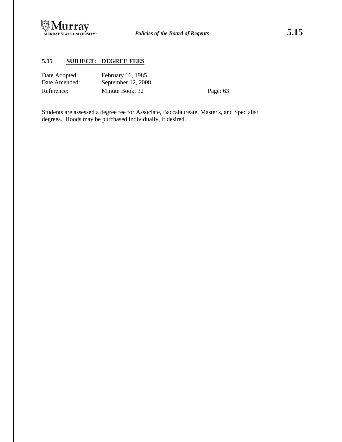

# **5.15 SUBJECT: DEGREE FEES**

| Date Adopted: | February 16, 1985  |
|---------------|--------------------|
| Date Amended: | September 12, 2008 |
| Reference:    | Minute Book: 32    |

Page: 63

Students are assessed a degree fee for Associate, Baccalaureate, Master's, and Specialist degrees. Hoods may be purchased individually, if desired.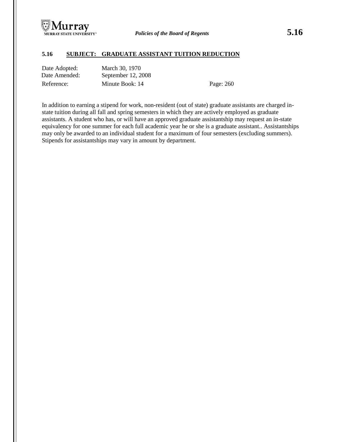

#### **5.16 SUBJECT: GRADUATE ASSISTANT TUITION REDUCTION**

| Date Adopted: | March 30, 1970     |
|---------------|--------------------|
| Date Amended: | September 12, 2008 |
| Reference:    | Minute Book: 14    |

Page: 260

In addition to earning a stipend for work, non-resident (out of state) graduate assistants are charged instate tuition during all fall and spring semesters in which they are actively employed as graduate assistants. A student who has, or will have an approved graduate assistantship may request an in-state equivalency for one summer for each full academic year he or she is a graduate assistant.. Assistantships may only be awarded to an individual student for a maximum of four semesters (excluding summers). Stipends for assistantships may vary in amount by department.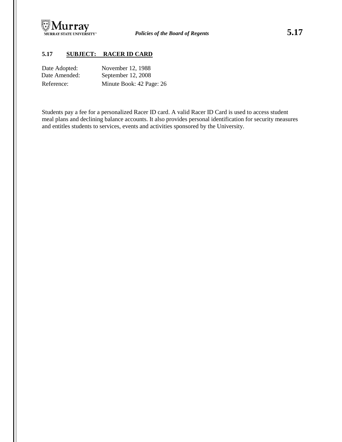

# **5.17 SUBJECT: RACER ID CARD**

| Date Adopted: | November 12, 1988        |
|---------------|--------------------------|
| Date Amended: | September 12, 2008       |
| Reference:    | Minute Book: 42 Page: 26 |

Students pay a fee for a personalized Racer ID card. A valid Racer ID Card is used to access student meal plans and declining balance accounts. It also provides personal identification for security measures and entitles students to services, events and activities sponsored by the University.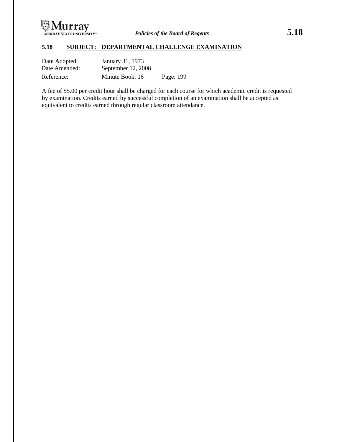

# **5.18 SUBJECT: DEPARTMENTAL CHALLENGE EXAMINATION**

| Date Adopted: | January 31, 1973   |           |
|---------------|--------------------|-----------|
| Date Amended: | September 12, 2008 |           |
| Reference:    | Minute Book: 16    | Page: 199 |

A fee of \$5.00 per credit hour shall be charged for each course for which academic credit is requested by examination. Credits earned by successful completion of an examination shall be accepted as equivalent to credits earned through regular classroom attendance.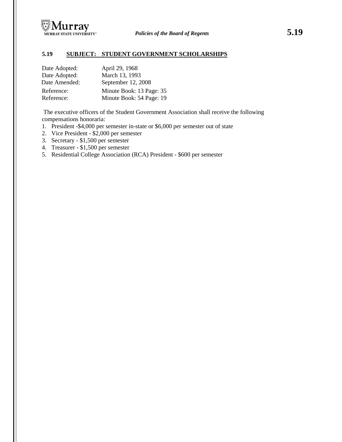

# **5.19 SUBJECT: STUDENT GOVERNMENT SCHOLARSHIPS**

| Date Adopted: | April 29, 1968           |
|---------------|--------------------------|
| Date Adopted: | March 13, 1993           |
| Date Amended: | September 12, 2008       |
| Reference:    | Minute Book: 13 Page: 35 |
| Reference:    | Minute Book: 54 Page: 19 |

The executive officers of the Student Government Association shall receive the following compensations honoraria:

- 1. President -\$4,000 per semester in-state or \$6,000 per semester out of state
- 2. Vice President \$2,000 per semester
- 3. Secretary \$1,500 per semester
- 4. Treasurer \$1,500 per semester
- 5. Residential College Association (RCA) President \$600 per semester